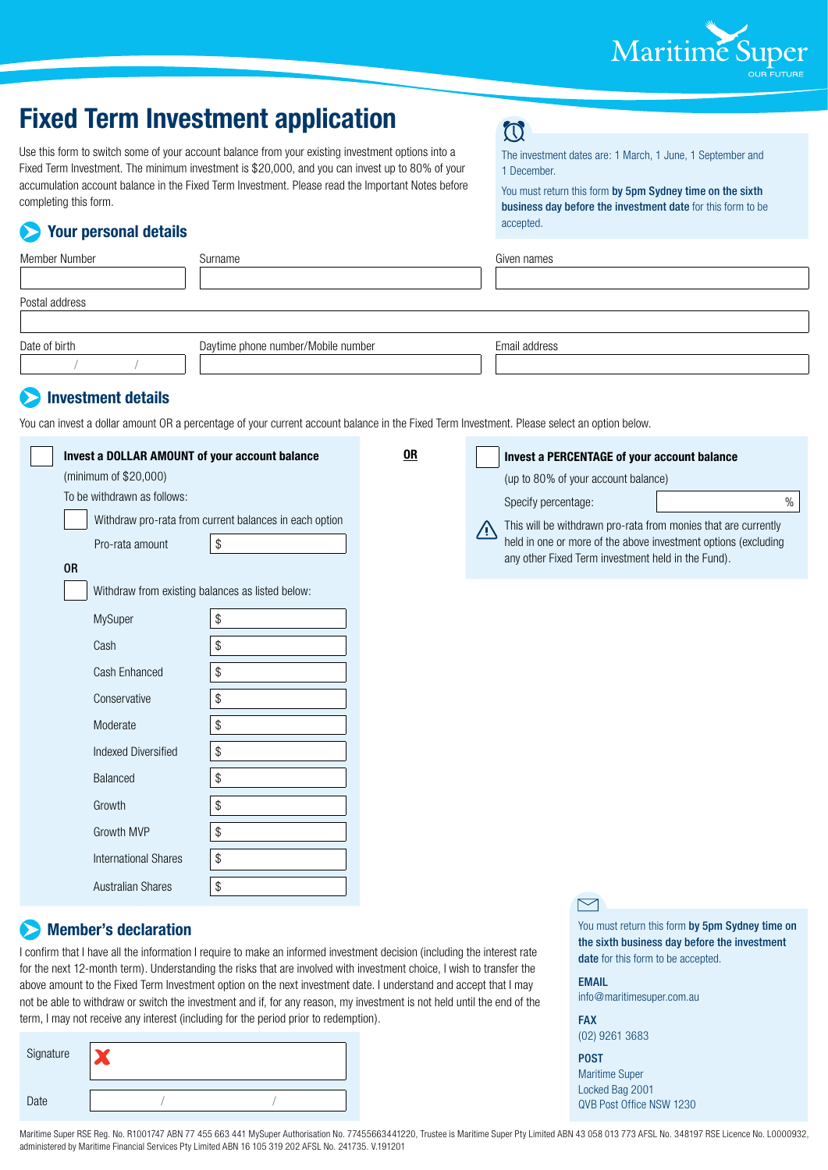

# **Fixed Term Investment application**

Use this form to switch some of your account balance from your existing investment options into a Fixed Term Investment. The minimum investment is \$20,000, and you can invest up to 80% of your accumulation account balance in the Fixed Term Investment. Please read the Important Notes before completing this form.

## **Your personal details**

## **CO**

The investment dates are: 1 March, 1 June, 1 September and 1 December.

You must return this form by 5pm Sydney time on the sixth business day before the investment date for this form to be accepted.

| Member Number           | Surname                            | Given names   |
|-------------------------|------------------------------------|---------------|
|                         |                                    |               |
| Postal address          |                                    |               |
|                         |                                    |               |
| Date of birth           | Daytime phone number/Mobile number | Email address |
|                         |                                    |               |
| <b>All Service</b><br>. |                                    |               |

### **Investment details**

You can invest a dollar amount OR a percentage of your current account balance in the Fixed Term Investment. Please select an option below.

| Invest a DOLLAR AMOUNT of your account balance   |                                                        | 0R |    | Invest a PERCENTAGE of your account balance                    |      |
|--------------------------------------------------|--------------------------------------------------------|----|----|----------------------------------------------------------------|------|
| (minimum of \$20,000)                            |                                                        |    |    | (up to 80% of your account balance)                            |      |
| To be withdrawn as follows:                      |                                                        |    |    | Specify percentage:                                            | $\%$ |
|                                                  | Withdraw pro-rata from current balances in each option |    | /N | This will be withdrawn pro-rata from monies that are currently |      |
| Pro-rata amount                                  | \$                                                     |    |    | held in one or more of the above investment options (excluding |      |
| <b>OR</b>                                        |                                                        |    |    | any other Fixed Term investment held in the Fund).             |      |
| Withdraw from existing balances as listed below: |                                                        |    |    |                                                                |      |
| MySuper                                          | \$                                                     |    |    |                                                                |      |
| Cash                                             | \$                                                     |    |    |                                                                |      |
| Cash Enhanced                                    | $\$$                                                   |    |    |                                                                |      |
| Conservative                                     | \$                                                     |    |    |                                                                |      |
| Moderate                                         | \$                                                     |    |    |                                                                |      |
| <b>Indexed Diversified</b>                       | $\$$                                                   |    |    |                                                                |      |
| Balanced                                         | \$                                                     |    |    |                                                                |      |
| Growth                                           | \$                                                     |    |    |                                                                |      |
| Growth MVP                                       | \$                                                     |    |    |                                                                |      |
| <b>International Shares</b>                      | \$                                                     |    |    |                                                                |      |
| <b>Australian Shares</b>                         | \$                                                     |    |    |                                                                |      |

#### **Member's declaration**

I confirm that I have all the information I require to make an informed investment decision (including the interest rate for the next 12-month term). Understanding the risks that are involved with investment choice, I wish to transfer the above amount to the Fixed Term Investment option on the next investment date. I understand and accept that I may not be able to withdraw or switch the investment and if, for any reason, my investment is not held until the end of the term, I may not receive any interest (including for the period prior to redemption).

| Signature |  |  |
|-----------|--|--|
| Date      |  |  |



You must return this form by 5pm Sydney time on the sixth business day before the investment date for this form to be accepted.

EMAIL

info@maritimesuper.com.au

FAX (02) 9261 3683

#### POST

Maritime Super Locked Bag 2001 QVB Post Office NSW 1230

Maritime Super RSE Reg. No. R1001747 ABN 77 455 663 441 MySuper Authorisation No. 77455663441220, Trustee is Maritime Super Pty Limited ABN 43 058 013 773 AFSL No. 348197 RSE Licence No. L0000932, administered by Maritime Financial Services Pty Limited ABN 16 105 319 202 AFSL No. 241735. V.191201